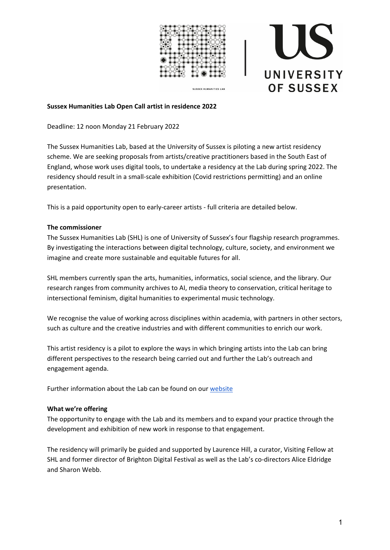

**SUSSEX HUMANITIES LAB** 



## **Sussex Humanities Lab Open Call artist in residence 2022**

Deadline: 12 noon Monday 21 February 2022

The Sussex Humanities Lab, based at the University of Sussex is piloting a new artist residency scheme. We are seeking proposals from artists/creative practitioners based in the South East of England, whose work uses digital tools, to undertake a residency at the Lab during spring 2022. The residency should result in a small-scale exhibition (Covid restrictions permitting) and an online presentation.

This is a paid opportunity open to early-career artists - full criteria are detailed below.

## **The commissioner**

The Sussex Humanities Lab (SHL) is one of University of Sussex's four flagship research programmes. By investigating the interactions between digital technology, culture, society, and environment we imagine and create more sustainable and equitable futures for all.

SHL members currently span the arts, humanities, informatics, social science, and the library. Our research ranges from community archives to AI, media theory to conservation, critical heritage to intersectional feminism, digital humanities to experimental music technology.

We recognise the value of working across disciplines within academia, with partners in other sectors, such as culture and the creative industries and with different communities to enrich our work.

This artist residency is a pilot to explore the ways in which bringing artists into the Lab can bring different perspectives to the research being carried out and further the Lab's outreach and engagement agenda.

Further information about the Lab can be found on our [website](https://www.sussex.ac.uk/research/centres/sussex-humanities-lab/index)

## **What we're offering**

The opportunity to engage with the Lab and its members and to expand your practice through the development and exhibition of new work in response to that engagement.

The residency will primarily be guided and supported by Laurence Hill, a curator, Visiting Fellow at SHL and former director of Brighton Digital Festival as well as the Lab's co-directors Alice Eldridge and Sharon Webb.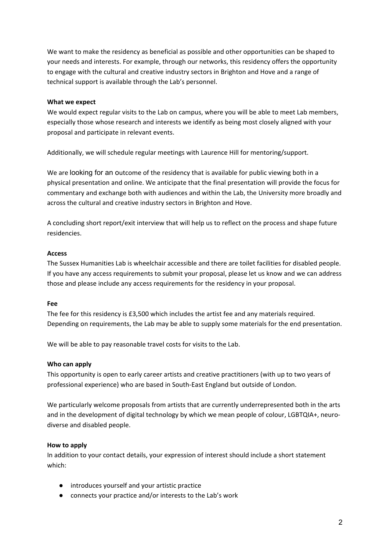We want to make the residency as beneficial as possible and other opportunities can be shaped to your needs and interests. For example, through our networks, this residency offers the opportunity to engage with the cultural and creative industry sectors in Brighton and Hove and a range of technical support is available through the Lab's personnel.

## **What we expect**

We would expect regular visits to the Lab on campus, where you will be able to meet Lab members, especially those whose research and interests we identify as being most closely aligned with your proposal and participate in relevant events.

Additionally, we will schedule regular meetings with Laurence Hill for mentoring/support.

We are looking for an outcome of the residency that is available for public viewing both in a physical presentation and online. We anticipate that the final presentation will provide the focus for commentary and exchange both with audiences and within the Lab, the University more broadly and across the cultural and creative industry sectors in Brighton and Hove.

A concluding short report/exit interview that will help us to reflect on the process and shape future residencies.

## **Access**

The Sussex Humanities Lab is wheelchair accessible and there are toilet facilities for disabled people. If you have any access requirements to submit your proposal, please let us know and we can address those and please include any access requirements for the residency in your proposal.

# **Fee**

The fee for this residency is £3,500 which includes the artist fee and any materials required. Depending on requirements, the Lab may be able to supply some materials for the end presentation.

We will be able to pay reasonable travel costs for visits to the Lab.

# **Who can apply**

This opportunity is open to early career artists and creative practitioners (with up to two years of professional experience) who are based in South-East England but outside of London.

We particularly welcome proposals from artists that are currently underrepresented both in the arts and in the development of digital technology by which we mean people of colour, LGBTQIA+, neurodiverse and disabled people.

# **How to apply**

In addition to your contact details, your expression of interest should include a short statement which:

- introduces yourself and your artistic practice
- connects your practice and/or interests to the Lab's work